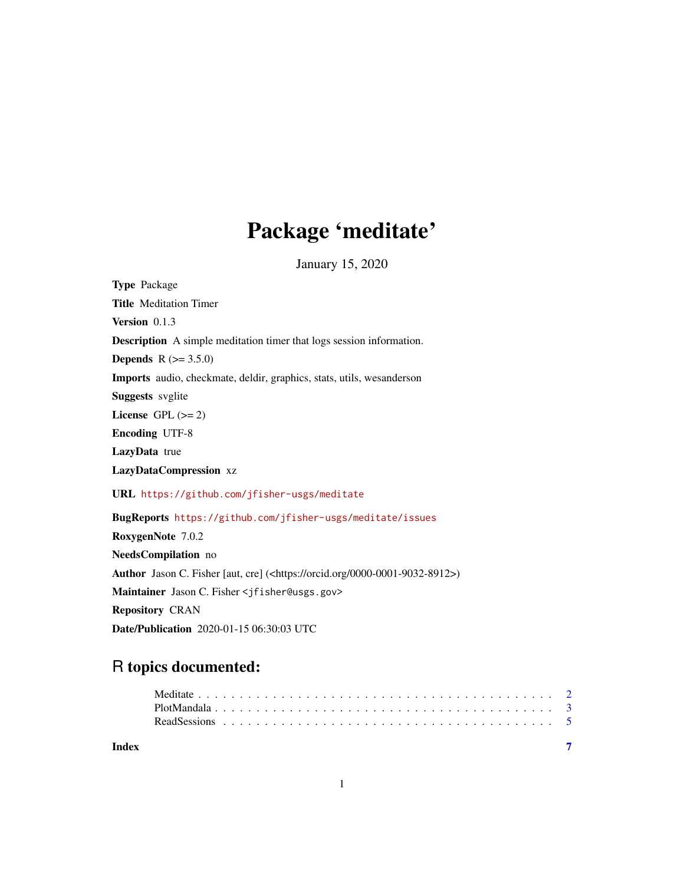## Package 'meditate'

January 15, 2020

<span id="page-0-0"></span>Type Package Title Meditation Timer Version 0.1.3 Description A simple meditation timer that logs session information. **Depends**  $R (= 3.5.0)$ Imports audio, checkmate, deldir, graphics, stats, utils, wesanderson Suggests svglite License GPL  $(>= 2)$ Encoding UTF-8 LazyData true LazyDataCompression xz URL <https://github.com/jfisher-usgs/meditate> BugReports <https://github.com/jfisher-usgs/meditate/issues> RoxygenNote 7.0.2 NeedsCompilation no Author Jason C. Fisher [aut, cre] (<https://orcid.org/0000-0001-9032-8912>) Maintainer Jason C. Fisher <jfisher@usgs.gov> Repository CRAN Date/Publication 2020-01-15 06:30:03 UTC

### R topics documented:

| Index |  |  |  |  |  |  |  |  |  |  |  |  |  |  |  |  |  |  |  |  |  |
|-------|--|--|--|--|--|--|--|--|--|--|--|--|--|--|--|--|--|--|--|--|--|
|       |  |  |  |  |  |  |  |  |  |  |  |  |  |  |  |  |  |  |  |  |  |
|       |  |  |  |  |  |  |  |  |  |  |  |  |  |  |  |  |  |  |  |  |  |
|       |  |  |  |  |  |  |  |  |  |  |  |  |  |  |  |  |  |  |  |  |  |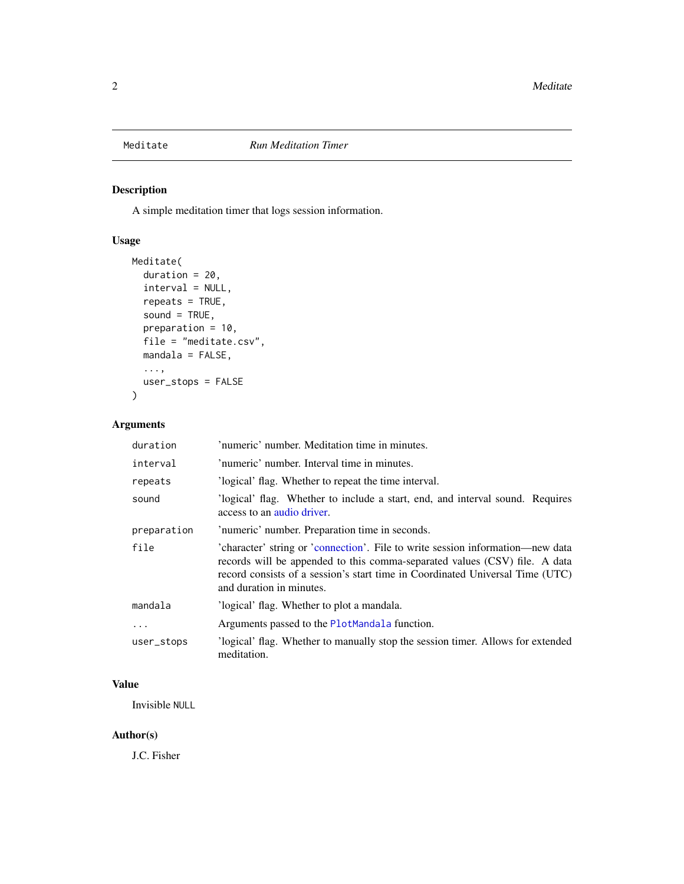<span id="page-1-1"></span><span id="page-1-0"></span>

#### Description

A simple meditation timer that logs session information.

#### Usage

```
Meditate(
  duration = 20,
  interval = NULL,
 repeats = TRUE,
  sound = TRUE,
 preparation = 10,
 file = "meditate.csv",
 mandala = FALSE,
  ...,
 user_stops = FALSE
)
```
#### Arguments

| duration    | 'numeric' number. Meditation time in minutes.                                                                                                                                                                                                                             |  |  |  |  |  |
|-------------|---------------------------------------------------------------------------------------------------------------------------------------------------------------------------------------------------------------------------------------------------------------------------|--|--|--|--|--|
| interval    | 'numeric' number. Interval time in minutes.                                                                                                                                                                                                                               |  |  |  |  |  |
| repeats     | 'logical' flag. Whether to repeat the time interval.                                                                                                                                                                                                                      |  |  |  |  |  |
| sound       | 'logical' flag. Whether to include a start, end, and interval sound. Requires<br>access to an audio driver.                                                                                                                                                               |  |  |  |  |  |
| preparation | 'numeric' number. Preparation time in seconds.                                                                                                                                                                                                                            |  |  |  |  |  |
| file        | 'character' string or 'connection'. File to write session information—new data<br>records will be appended to this comma-separated values (CSV) file. A data<br>record consists of a session's start time in Coordinated Universal Time (UTC)<br>and duration in minutes. |  |  |  |  |  |
| mandala     | 'logical' flag. Whether to plot a mandala.                                                                                                                                                                                                                                |  |  |  |  |  |
| $\ddotsc$   | Arguments passed to the PlotMandala function.                                                                                                                                                                                                                             |  |  |  |  |  |
| user_stops  | 'logical' flag. Whether to manually stop the session timer. Allows for extended<br>meditation.                                                                                                                                                                            |  |  |  |  |  |

#### Value

Invisible NULL

#### Author(s)

J.C. Fisher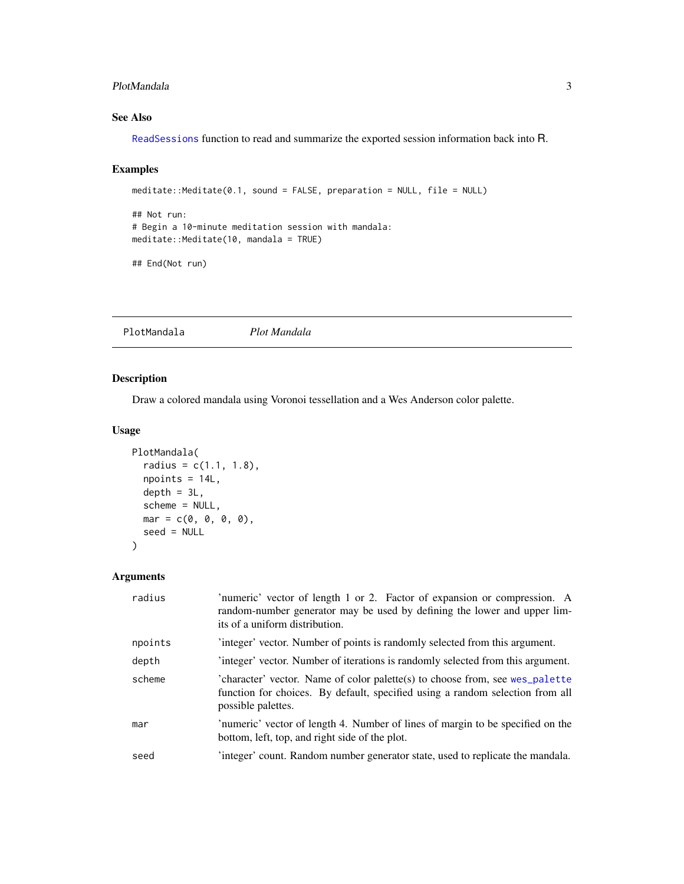#### <span id="page-2-0"></span>PlotMandala 3

#### See Also

[ReadSessions](#page-4-1) function to read and summarize the exported session information back into R.

#### Examples

```
meditate::Meditate(0.1, sound = FALSE, preparation = NULL, file = NULL)
```

```
## Not run:
# Begin a 10-minute meditation session with mandala:
meditate::Meditate(10, mandala = TRUE)
```

```
## End(Not run)
```
<span id="page-2-1"></span>PlotMandala *Plot Mandala*

Description

Draw a colored mandala using Voronoi tessellation and a Wes Anderson color palette.

#### Usage

```
PlotMandala(
  radius = c(1.1, 1.8),npoints = 14L,
 depth = 3L,scheme = NULL,
 mar = c(0, 0, 0, 0),
 seed = NULL
)
```
#### Arguments

| radius  | 'numeric' vector of length 1 or 2. Factor of expansion or compression. A<br>random-number generator may be used by defining the lower and upper lim-<br>its of a uniform distribution. |
|---------|----------------------------------------------------------------------------------------------------------------------------------------------------------------------------------------|
| npoints | integer' vector. Number of points is randomly selected from this argument.                                                                                                             |
| depth   | 'integer' vector. Number of iterations is randomly selected from this argument.                                                                                                        |
| scheme  | 'character' vector. Name of color palette(s) to choose from, see wes_palette<br>function for choices. By default, specified using a random selection from all<br>possible palettes.    |
| mar     | 'numeric' vector of length 4. Number of lines of margin to be specified on the<br>bottom, left, top, and right side of the plot.                                                       |
| seed    | 'integer' count. Random number generator state, used to replicate the mandala.                                                                                                         |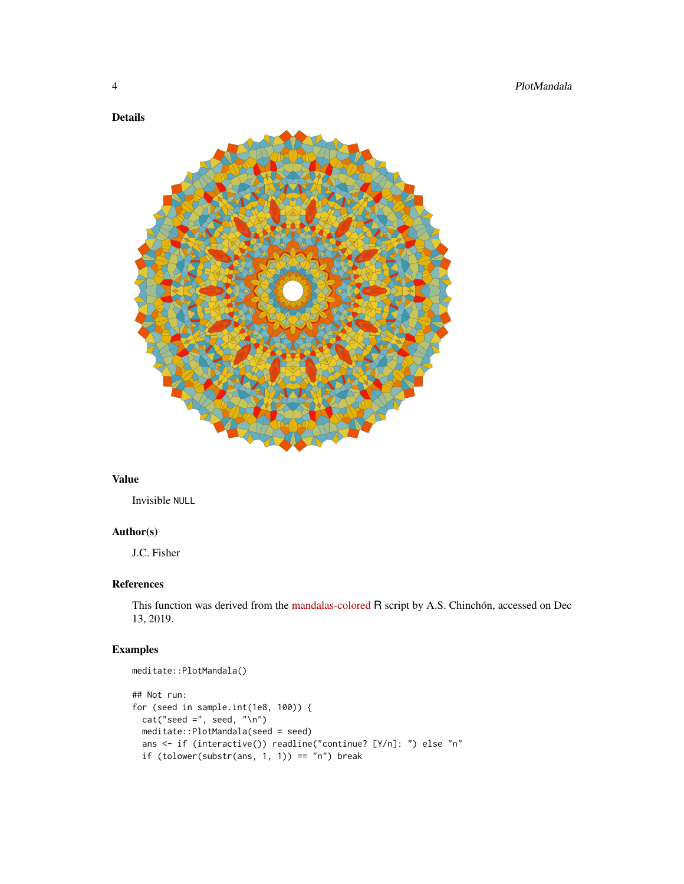#### Details



#### Value

Invisible NULL

#### Author(s)

J.C. Fisher

#### References

This function was derived from the [mandalas-colored](https://github.com/aschinchon/mandalas-colored) R script by A.S. Chinchón, accessed on Dec 13, 2019.

#### Examples

```
meditate::PlotMandala()
## Not run:
for (seed in sample.int(1e8, 100)) {
  cat("seed =", seed, "\\n")meditate::PlotMandala(seed = seed)
  ans <- if (interactive()) readline("continue? [Y/n]: ") else "n"
  if (tolower(substr(ans, 1, 1)) == "n") break
```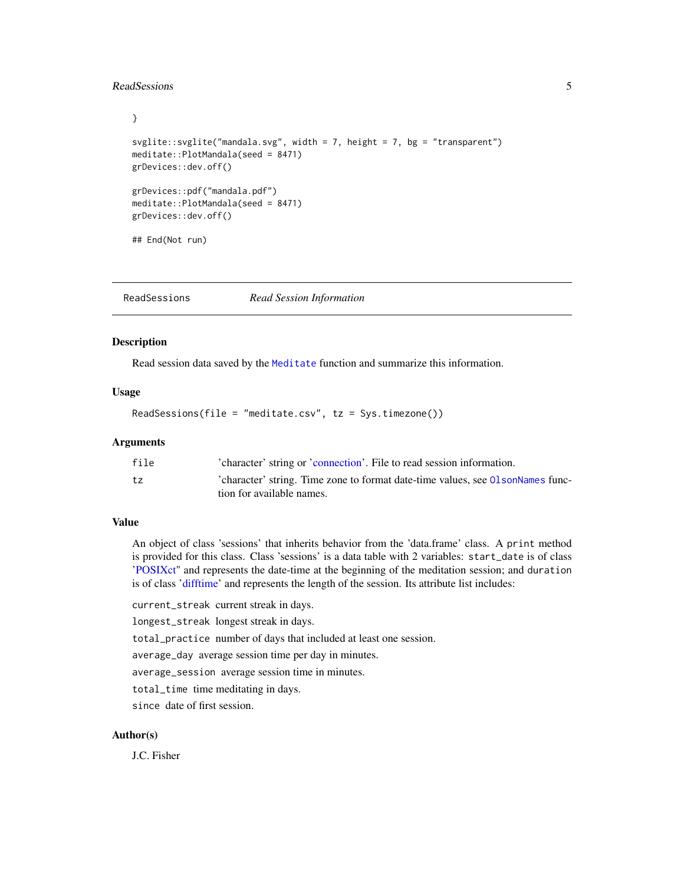#### <span id="page-4-0"></span>ReadSessions 5

```
}
svglite::svglite("mandala.svg", width = 7, height = 7, bg = "transparent")
meditate::PlotMandala(seed = 8471)
grDevices::dev.off()
grDevices::pdf("mandala.pdf")
meditate::PlotMandala(seed = 8471)
grDevices::dev.off()
## End(Not run)
```
<span id="page-4-1"></span>ReadSessions *Read Session Information*

#### Description

Read session data saved by the [Meditate](#page-1-1) function and summarize this information.

#### Usage

ReadSessions(file = "meditate.csv", tz = Sys.timezone())

#### Arguments

| file | 'character' string or 'connection'. File to read session information.           |
|------|---------------------------------------------------------------------------------|
| tz   | 'character' string. Time zone to format date-time values, see 01 sonNames func- |
|      | tion for available names.                                                       |

#### Value

An object of class 'sessions' that inherits behavior from the 'data.frame' class. A print method is provided for this class. Class 'sessions' is a data table with 2 variables: start\_date is of class ['POSIXct"](#page-0-0) and represents the date-time at the beginning of the meditation session; and duration is of class ['difftime'](#page-0-0) and represents the length of the session. Its attribute list includes:

current\_streak current streak in days.

longest\_streak longest streak in days.

total\_practice number of days that included at least one session.

average\_day average session time per day in minutes.

average\_session average session time in minutes.

total\_time time meditating in days.

since date of first session.

#### Author(s)

J.C. Fisher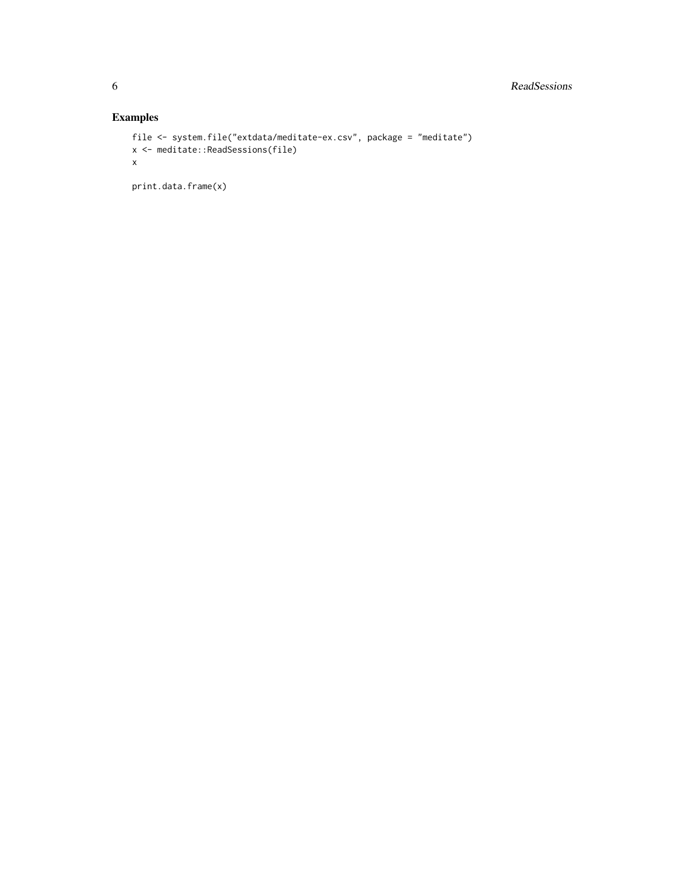#### Examples

```
file <- system.file("extdata/meditate-ex.csv", package = "meditate")
x <- meditate::ReadSessions(file)
x
```
print.data.frame(x)